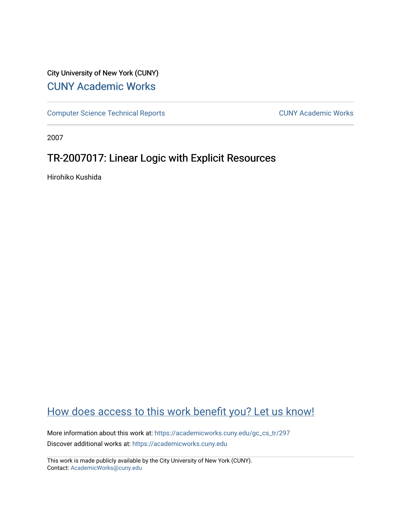# City University of New York (CUNY) [CUNY Academic Works](https://academicworks.cuny.edu/)

[Computer Science Technical Reports](https://academicworks.cuny.edu/gc_cs_tr) **CUNY Academic Works** CUNY Academic Works

2007

# TR-2007017: Linear Logic with Explicit Resources

Hirohiko Kushida

# [How does access to this work benefit you? Let us know!](http://ols.cuny.edu/academicworks/?ref=https://academicworks.cuny.edu/gc_cs_tr/297)

More information about this work at: [https://academicworks.cuny.edu/gc\\_cs\\_tr/297](https://academicworks.cuny.edu/gc_cs_tr/297)  Discover additional works at: [https://academicworks.cuny.edu](https://academicworks.cuny.edu/?)

This work is made publicly available by the City University of New York (CUNY). Contact: [AcademicWorks@cuny.edu](mailto:AcademicWorks@cuny.edu)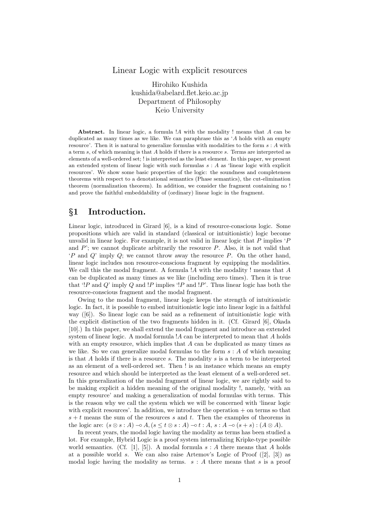#### Linear Logic with explicit resources

Hirohiko Kushida kushida@abelard.flet.keio.ac.jp Department of Philosophy Keio University

Abstract. In linear logic, a formula  $A$  with the modality ! means that  $A$  can be duplicated as many times as we like. We can paraphrase this as 'A holds with an empty resource'. Then it is natural to generalize formulas with modalities to the form  $s : A$  with a term s, of which meaning is that A holds if there is a resource s. Terms are interpreted as elements of a well-ordered set; ! is interpreted as the least element. In this paper, we present an extended system of linear logic with such formulas  $s : A$  as 'linear logic with explicit resources'. We show some basic properties of the logic: the soundness and completeness theorems with respect to a denotational semantics (Phase semantics), the cut-elimination theorem (normalization theorem). In addition, we consider the fragment containing no ! and prove the faithful embeddability of (ordinary) linear logic in the fragment.

### §1 Introduction.

Linear logic, introduced in Girard [6], is a kind of resource-conscious logic. Some propositions which are valid in standard (classical or intuitionistic) logic become unvalid in linear logic. For example, it is not valid in linear logic that  $P$  implies  $P$ and  $P'$ ; we cannot duplicate arbitrarily the resource  $P$ . Also, it is not valid that  $P$  and  $Q$  imply  $Q$ ; we cannot throw away the resource P. On the other hand, linear logic includes non resource-conscious fragment by equipping the modalities. We call this the modal fragment. A formula  $A$  with the modality ! means that  $A$ can be duplicated as many times as we like (including zero times). Then it is true that '!P and Q' imply Q and !P implies '!P and !P'. Thus linear logic has both the resource-conscious fragment and the modal fragment.

Owing to the modal fragment, linear logic keeps the strength of intuitionistic logic. In fact, it is possible to embed intuitionistic logic into linear logic in a faithful way ([6]). So linear logic can be said as a refinement of intuitionistic logic with the explicit distinction of the two fragments hidden in it. (Cf. Girard [6], Okada [10].) In this paper, we shall extend the modal fragment and introduce an extended system of linear logic. A modal formula !A can be interpreted to mean that A holds with an empty resource, which implies that  $A$  can be duplicated as many times as we like. So we can generalize modal formulas to the form  $s : A$  of which meaning is that  $A$  holds if there is a resource  $s$ . The modality  $s$  is a term to be interpreted as an element of a well-ordered set. Then ! is an instance which means an empty resource and which should be interpreted as the least element of a well-ordered set. In this generalization of the modal fragment of linear logic, we are rightly said to be making explicit a hidden meaning of the original modality !, namely, 'with an empty resource' and making a generalization of modal formulas with terms. This is the reason why we call the system which we will be concerned with 'linear logic with explicit resources'. In addition, we introduce the operation + on terms so that  $s + t$  means the sum of the resources s and t. Then the examples of theorems in the logic are:  $(s \otimes s : A) \neg A$ ,  $(s \leq t \otimes s : A) \neg b t : A$ ,  $s : A \neg b (s + s) : (A \otimes A)$ .

In recent years, the modal logic having the modality as terms has been studied a lot. For example, Hybrid Logic is a proof system internalizing Kripke-type possible world semantics. (Cf. [1], [5]). A modal formula  $s : A$  there means that A holds at a possible world s. We can also raise Artemov's Logic of Proof  $([2], [3])$  as modal logic having the modality as terms.  $s : A$  there means that s is a proof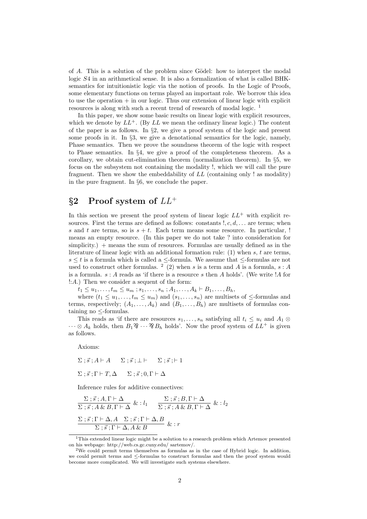of  $A$ . This is a solution of the problem since Gödel: how to interpret the modal logic S4 in an arithmetical sense. It is also a formalization of what is called BHKsemantics for intuitionistic logic via the notion of proofs. In the Logic of Proofs, some elementary functions on terms played an important role. We borrow this idea to use the operation  $+$  in our logic. Thus our extension of linear logic with explicit resources is along with such a recent trend of research of modal logic. <sup>1</sup>

In this paper, we show some basic results on linear logic with explicit resources, which we denote by  $LL^+$ . (By  $LL$  we mean the ordinary linear logic.) The content of the paper is as follows. In §2, we give a proof system of the logic and present some proofs in it. In §3, we give a denotational semantics for the logic, namely, Phase semantics. Then we prove the soundness theorem of the logic with respect to Phase semantics. In §4, we give a proof of the completeness theorem. As a corollary, we obtain cut-elimination theorem (normalization theorem). In §5, we focus on the subsystem not containing the modality !, which we will call the pure fragment. Then we show the embeddability of LL (containing only ! as modality) in the pure fragment. In §6, we conclude the paper.

# §2 Proof system of  $LL^+$

In this section we present the proof system of linear logic  $LL^+$  with explicit resources. First the terms are defined as follows: constants  $!, c, d, \ldots$  are terms; when s and t are terms, so is  $s + t$ . Each term means some resource. In particular, ! means an empty resource. (In this paper we do not take ? into consideration for simplicity.) + means the sum of resources. Formulas are usually defined as in the literature of linear logic with an additional formation rule:  $(1)$  when s, t are terms,  $s \leq t$  is a formula which is called a  $\leq$ -formula. We assume that  $\leq$ -formulas are not used to construct other formulas. <sup>2</sup> (2) when s is a term and A is a formula, s : A is a formula.  $s : A$  reads as 'if there is a resource s then A holds'. (We write !A for !:A.) Then we consider a sequent of the form:

 $t_1 \leq u_1, \ldots, t_m \leq u_m$ ;  $s_1, \ldots, s_n$ ;  $A_1, \ldots, A_k \vdash B_1, \ldots, B_h$ 

where  $(t_1 \le u_1, \ldots, t_m \le u_m)$  and  $(s_1, \ldots, s_n)$  are multisets of  $\le$ -formulas and terms, respectively;  $(A_1, \ldots, A_k)$  and  $(B_1, \ldots, B_h)$  are multisets of formulas containing no  $\leq$ -formulas.

This reads as 'if there are resources  $s_1, \ldots, s_n$  satisfying all  $t_i \leq u_i$  and  $A_1 \otimes$  $\cdots \otimes A_k$  holds, then  $B_1 \mathfrak{B} \cdots \mathfrak{B}_k$  holds'. Now the proof system of  $LL^+$  is given as follows.

Axioms:

$$
\Sigma \; ; \; \vec{s} \; ; A \vdash A \quad \Sigma \; ; \; \vec{s} \; ; \bot \vdash \quad \Sigma \; ; \; \vec{s} \; ; \vdash 1
$$
\n
$$
\Sigma \; ; \; \vec{s} \; ; \Gamma \vdash T, \Delta \quad \Sigma \; ; \; \vec{s} \; ; 0, \Gamma \vdash \Delta
$$

Inference rules for additive connectives:

$$
\frac{\Sigma \; ; \; \vec{s} \; ; A, \Gamma \vdash \Delta}{\Sigma \; ; \; \vec{s} \; ; A \; \& \; B, \Gamma \vdash \Delta} \; \& \; : l_1 \quad \frac{\Sigma \; ; \; \vec{s} \; ; B, \Gamma \vdash \Delta}{\Sigma \; ; \; \vec{s} \; ; A \; \& \; B, \Gamma \vdash \Delta} \; \& \; : l_2
$$
\n
$$
\frac{\Sigma \; ; \; \vec{s} \; ; \Gamma \vdash \Delta, A \quad \Sigma \; ; \; \vec{s} \; ; \Gamma \vdash \Delta, B}{\Sigma \; ; \; \vec{s} \; ; \Gamma \vdash \Delta, A \; \& \; B} \; \& \; : r
$$

 $1$ This extended linear logic might be a solution to a research problem which Artemov presented on his webpage: http://web.cs.gc.cuny.edu/ sartemov/.

<sup>2</sup>We could permit terms themselves as formulas as in the case of Hybrid logic. In addition, we could permit terms and ≤-formulas to construct formulas and then the proof system would become more complicated. We will investigate such systems elsewhere.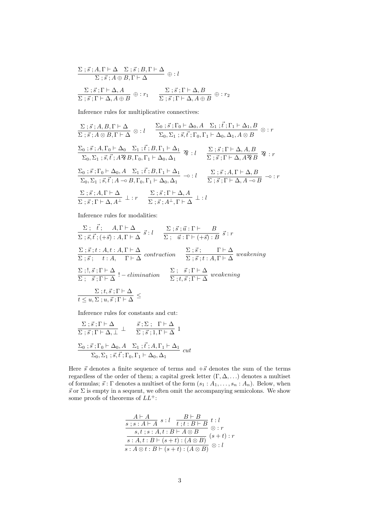$$
\frac{\Sigma \; ; \vec{s} \; ; A, \Gamma \vdash \Delta \quad \Sigma \; ; \vec{s} \; ; B, \Gamma \vdash \Delta}{\Sigma \; ; \vec{s} \; ; A \oplus B, \Gamma \vdash \Delta} \; \oplus : l
$$
\n
$$
\frac{\Sigma \; ; \vec{s} \; ; \Gamma \vdash \Delta, A}{\Sigma \; ; \vec{s} \; ; \Gamma \vdash \Delta, A \oplus B} \; \oplus : r_1 \quad \frac{\Sigma \; ; \vec{s} \; ; \Gamma \vdash \Delta, B}{\Sigma \; ; \vec{s} \; ; \Gamma \vdash \Delta, A \oplus B} \; \oplus : r_2
$$

Inference rules for multiplicative connectives:

$$
\frac{\Sigma;\vec{s};A,B,\Gamma\vdash\Delta}{\Sigma;\vec{s};A\otimes B,\Gamma\vdash\Delta}\otimes:l\qquad \frac{\Sigma_{0};\vec{s};\Gamma_{0}\vdash\Delta_{0},A\quad\Sigma_{1};\vec{t};\Gamma_{1}\vdash\Delta_{1},B}{\Sigma_{0},\Sigma_{1};\vec{s},\vec{t};\Gamma_{0},\Gamma_{1}\vdash\Delta_{0},\Delta_{1},A\otimes B}\otimes:r
$$
\n
$$
\frac{\Sigma_{0};\vec{s};A,\Gamma_{0}\vdash\Delta_{0}\quad\Sigma_{1};\vec{t};B,\Gamma_{1}\vdash\Delta_{1}}{\Sigma_{0},\Sigma_{1};\vec{s},\vec{t};A^{2}B,B,\Gamma_{0},\Gamma_{1}\vdash\Delta_{0},\Delta_{1}}\quad \frac{\Sigma;\vec{s};\Gamma\vdash\Delta,A,B}{\Sigma;\vec{s};\Gamma\vdash\Delta,A^{2}B}\quad \frac{\mathcal{R}}{\mathcal{R}}:r
$$
\n
$$
\frac{\Sigma_{0};\vec{s};\Gamma_{0}\vdash\Delta_{0},A\quad\Sigma_{1};\vec{t};B,\Gamma_{1}\vdash\Delta_{1}}{\Sigma_{0},\Sigma_{1};\vec{s},\vec{t};A\multimap B,\Gamma_{0},\Gamma_{1}\vdash\Delta_{0},\Delta_{1}}\quad \frac{\Sigma;\vec{s};A,\Gamma\vdash\Delta,B}{\Sigma;\vec{s};\Gamma\vdash\Delta,A\multimap B}\quad \neg\circ:r
$$
\n
$$
\frac{\Sigma;\vec{s};A,\Gamma\vdash\Delta}{\Sigma;\vec{s};A,\Gamma\vdash\Delta,A^{\perp}}\perp:r\qquad \frac{\Sigma;\vec{s};\Gamma\vdash\Delta,A}{\Sigma;\vec{s};A^{\perp},\Gamma\vdash\Delta}\quad \bot;l
$$

Inference rules for modalities:

$$
\frac{\Sigma}{\Sigma;\vec{s},\vec{t};(+\vec{s}) : A,\Gamma\vdash\Delta} \vec{s} : l \quad \frac{\Sigma;\vec{s};\vec{u} : \Gamma\vdash B}{\Sigma;\vec{u} : \Gamma\vdash(+\vec{s}) : B} \vec{s} : r
$$
\n
$$
\frac{\Sigma;\vec{s};t : A,t : A,\Gamma\vdash\Delta}{\Sigma;\vec{s};t : A,\Gamma\vdash\Delta} \text{ contraction} \quad \frac{\Sigma;\vec{s};\Gamma\vdash\Delta}{\Sigma;\vec{s};t : A,\Gamma\vdash\Delta} \text{ weakening}
$$
\n
$$
\frac{\Sigma;!,\vec{s};\Gamma\vdash\Delta}{\Sigma;\vec{s};\Gamma\vdash\Delta} !-elimination \quad \frac{\Sigma;\vec{s};\Gamma\vdash\Delta}{\Sigma;t,\vec{s};\Gamma\vdash\Delta} \text{ weakening}
$$
\n
$$
\frac{\Sigma;t,\vec{s};\Gamma\vdash\Delta}{t\leq u,\Sigma;u,\vec{s};\Gamma\vdash\Delta} \leq
$$

Inference rules for constants and cut:

$$
\frac{\Sigma \; ; \; \vec{s} \; ; \Gamma \vdash \Delta}{\Sigma \; ; \; \vec{s} \; ; \Gamma \vdash \Delta, \perp} \; \perp \; \frac{\vec{s} \; ; \Sigma \; ; \; \Gamma \vdash \Delta}{\Sigma \; ; \; \vec{s} \; ; \Gamma, \Gamma \vdash \Delta} \; 1
$$
\n
$$
\frac{\Sigma_0 \; ; \; \vec{s} \; ; \Gamma_0 \vdash \Delta_0, A \quad \Sigma_1 \; ; \; \vec{t} \; ; A, \Gamma_1 \vdash \Delta_1}{\Sigma_0, \Sigma_1 \; ; \; \vec{s}, \vec{t} \; ; \Gamma_0, \Gamma_1 \vdash \Delta_0, \Delta_1} \; cut
$$

Here  $\vec{s}$  denotes a finite sequence of terms and  $+\vec{s}$  denotes the sum of the terms regardless of the order of them; a capital greek letter  $(\Gamma, \Delta, \ldots)$  denotes a multiset of formulas;  $\vec{s}$ : Γ denotes a multiset of the form  $(s_1 : A_1, \ldots, s_n : A_n)$ . Below, when  $\vec{s}$  or  $\Sigma$  is empty in a sequent, we often omit the accompanying semicolons. We show some proofs of theorems of  $LL^+$ :

$$
\frac{A \vdash A}{s : s : A \vdash A} s : l \quad \frac{B \vdash B}{t : t : B \vdash B} t : l \n\frac{s, t : s : A, t : B \vdash A \otimes B}{s : A, t : B \vdash (s + t) : (A \otimes B)} (s + t) : r \n\overline{s : A \otimes t : B \vdash (s + t) : (A \otimes B)} \otimes : l
$$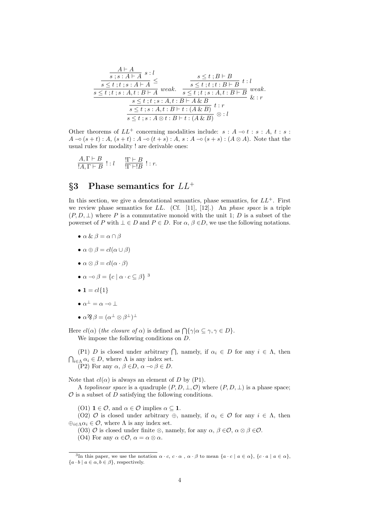$$
\frac{A \vdash A}{s \leq t \; ; t \; ; s \; : A \vdash A} \leq \frac{s \leq t \; ; B \vdash B}{s \leq t \; ; t \; ; s \; : A \vdash A} \leq \frac{s \leq t \; ; t \; ; B \vdash B}{s \leq t \; ; t \; ; s \; : A, t \; : B \vdash B} \; t \; : l
$$
\n
$$
\frac{s \leq t \; ; t \; ; s \; : A, t \; : B \vdash A \; \& \; B}{s \leq t \; ; t \; ; s \; : A, t \; : B \vdash A \; \& \; B} \; \& \; : r}
$$
\n
$$
\frac{s \leq t \; ; t \; ; s \; : A, t \; : B \vdash A \; \& \; B}{s \leq t \; ; s \; : A, t \; : B \vdash t \; : (A \; \& \; B)} \; \& \; : l
$$

Other theorems of  $LL^+$  concerning modalities include:  $s : A \rightarrow t : s : A, t : s : A$  $A \neg o (s + t) : A, (s + t) : A \neg o (t + s) : A, s : A \neg o (s + s) : (A \otimes A).$  Note that the usual rules for modality ! are derivable ones:

$$
\frac{A, \Gamma \vdash B}{!A, \Gamma \vdash B} : : l \quad \frac{!\Gamma \vdash B}{!\Gamma \vdash !B} : : r.
$$

## §3 Phase semantics for  $LL^+$

In this section, we give a denotational semantics, phase semantics, for  $LL^+$ . First we review phase semantics for  $LL$ . (Cf. [11], [12].) An phase space is a triple  $(P, D, \perp)$  where P is a commutative monoid with the unit 1; D is a subset of the powerset of P with  $\bot \in D$  and  $P \in D$ . For  $\alpha, \beta \in D$ , we use the following notations.

- $\bullet \alpha \& \beta = \alpha \cap \beta$
- $\alpha \oplus \beta = cl(\alpha \cup \beta)$
- $\alpha \otimes \beta = cl(\alpha \cdot \beta)$
- $\alpha \neg o \beta = \{c \mid \alpha \cdot c \subseteq \beta\}^3$
- $1 = cl\{1\}$
- $\bullet \ \alpha^{\perp} = \alpha \multimap \bot$
- $\bullet$   $\alpha$  ??  $\beta = (\alpha^{\perp} \otimes \beta^{\perp})^{\perp}$

Here  $cl(\alpha)$  (the closure of  $\alpha$ ) is defined as  $\bigcap {\{\gamma|\alpha \subseteq \gamma, \gamma \in D\}}$ . We impose the following conditions on D.

(P1) D is closed under arbitrary  $\bigcap$ , namely, if  $\alpha_i \in D$  for any  $i \in \Lambda$ , then  $\bigcap_{i\in\Lambda}\alpha_i\in D$ , where  $\Lambda$  is any index set. (P2) For any  $\alpha, \beta \in D$ ,  $\alpha \neg \circ \beta \in D$ .

Note that  $cl(\alpha)$  is always an element of D by (P1).

A topolinear space is a quadruple  $(P, D, \perp, \mathcal{O})$  where  $(P, D, \perp)$  is a phase space;  $\mathcal O$  is a subset of  $D$  satisfying the following conditions.

(O1)  $1 \in \mathcal{O}$ , and  $\alpha \in \mathcal{O}$  implies  $\alpha \subseteq 1$ .

(O2)  $\mathcal O$  is closed under arbitrary  $\oplus$ , namely, if  $\alpha_i \in \mathcal O$  for any  $i \in \Lambda$ , then  $\bigoplus_{i\in\Lambda}\alpha_i\in\mathcal{O}$ , where  $\Lambda$  is any index set.

(O3)  $\mathcal O$  is closed under finite  $\otimes$ , namely, for any  $\alpha, \beta \in \mathcal O$ ,  $\alpha \otimes \beta \in \mathcal O$ .

(O4) For any  $\alpha \in \mathcal{O}$ ,  $\alpha = \alpha \otimes \alpha$ .

<sup>&</sup>lt;sup>3</sup>In this paper, we use the notation  $\alpha \cdot c$ ,  $c \cdot \alpha$ ,  $\alpha \cdot \beta$  to mean  $\{a \cdot c \mid a \in \alpha\}$ ,  $\{c \cdot a \mid a \in \alpha\}$ ,  ${a \cdot b \mid a \in \alpha, b \in \beta},$  respectively.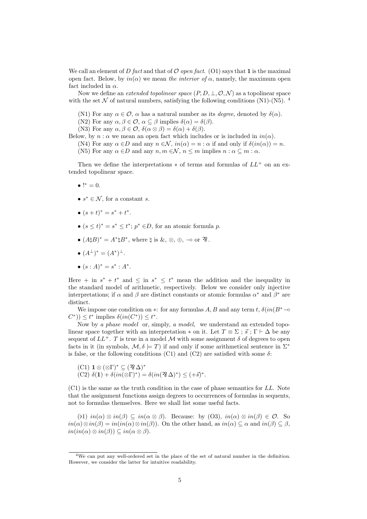We call an element of D fact and that of  $\mathcal O$  open fact. (O1) says that 1 is the maximal open fact. Below, by  $in(\alpha)$  we mean the interior of  $\alpha$ , namely, the maximum open fact included in  $\alpha$ .

Now we define an *extended topolinear space*  $(P, D, \perp, \mathcal{O}, \mathcal{N})$  as a topolinear space with the set  $\mathcal N$  of natural numbers, satisfying the following conditions (N1)-(N5). <sup>4</sup>

(N1) For any  $\alpha \in \mathcal{O}$ ,  $\alpha$  has a natural number as its *degree*, denoted by  $\delta(\alpha)$ .

(N2) For any  $\alpha, \beta \in \mathcal{O}, \alpha \subseteq \beta$  implies  $\delta(\alpha) = \delta(\beta)$ .

(N3) For any  $\alpha, \beta \in \mathcal{O}, \delta(\alpha \otimes \beta) = \delta(\alpha) + \delta(\beta)$ .

Below, by  $n : \alpha$  we mean an open fact which includes or is included in  $in(\alpha)$ .

(N4) For any  $\alpha \in D$  and any  $n \in \mathcal{N}$ ,  $in(\alpha) = n : \alpha$  if and only if  $\delta(in(\alpha)) = n$ .

(N5) For any  $\alpha \in D$  and any  $n, m \in \mathcal{N}$ ,  $n \leq m$  implies  $n : \alpha \subseteq m : \alpha$ .

Then we define the interpretations  $*$  of terms and formulas of  $LL^+$  on an extended topolinear space.

- $!^* = 0.$
- $s^* \in \mathcal{N}$ , for a constant s.
- $(s+t)^* = s^* + t^*$ .
- $(s \le t)^* = s^* \le t^*$ ;  $p^* \in D$ , for an atomic formula p.
- $(A\natural B)^* = A^*\natural B^*$ , where  $\natural$  is  $\&$ ,  $\otimes$ ,  $\oplus$ ,  $\multimap$  or  $\mathfrak{B}$ .
- $(A^{\perp})^* = (A^*)^{\perp}$ .
- $(s : A)^* = s^* : A^*$ .

Here + in  $s^* + t^*$  and  $\leq$  in  $s^* \leq t^*$  mean the addition and the inequality in the standard model of arithmetic, respectively. Below we consider only injective interpretations; if  $\alpha$  and  $\beta$  are distinct constants or atomic formulas  $\alpha^*$  and  $\beta^*$  are distinct.

We impose one condition on  $*$ : for any formulas A, B and any term t,  $\delta(in(B^*-\infty$  $(C^*)\leq t^*$  implies  $\delta(in(C^*))\leq t^*$ .

Now by a phase model or, simply, a model, we understand an extended topolinear space together with an interpretation  $*$  on it. Let  $T \equiv \Sigma$ ;  $\vec{s}$ ;  $\Gamma \vdash \Delta$  be any sequent of  $LL^+$ . T is true in a model M with some assignment  $\delta$  of degrees to open facts in it (in symbols,  $\mathcal{M}, \delta \models T$ ) if and only if some arithmetical sentence in  $\Sigma^*$ is false, or the following conditions (C1) and (C2) are satisfied with some  $\delta$ :

(C1) 
$$
\mathbf{1} \otimes (\otimes \Gamma)^* \subseteq (\mathfrak{B} \Delta)^*
$$
  
(C2)  $\delta(\mathbf{1}) + \delta(in(\otimes \Gamma)^*) = \delta(in(\mathfrak{B} \Delta)^*) \leq (+\vec{s})^*.$ 

(C1) is the same as the truth condition in the case of phase semantics for LL. Note that the assignment functions assign degrees to occurrences of formulas in sequents, not to formulas themselves. Here we shall list some useful facts.

(b1)  $in(\alpha) \otimes in(\beta) \subseteq in(\alpha \otimes \beta)$ . Because: by (O3),  $in(\alpha) \otimes in(\beta) \in \mathcal{O}$ . So  $in(\alpha)\otimes in(\beta)=in(in(\alpha)\otimes in(\beta)).$  On the other hand, as  $in(\alpha)\subseteq \alpha$  and  $in(\beta)\subseteq \beta$ ,  $in(in(\alpha) \otimes in(\beta)) \subseteq in(\alpha \otimes \beta).$ 

<sup>4</sup>We can put any well-ordered set in the place of the set of natural number in the definition. However, we consider the latter for intuitive readability.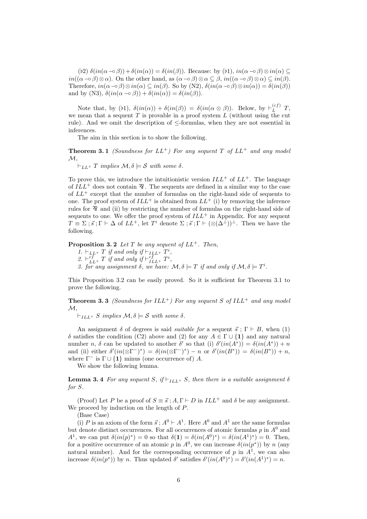(b2)  $\delta(in(\alpha-\circ\beta))+\delta(in(\alpha))=\delta(in(\beta))$ . Because: by (b1),  $in(\alpha-\circ\beta)\otimes in(\alpha) \subseteq$  $in((\alpha - \delta) \otimes \alpha)$ . On the other hand, as  $(\alpha - \delta) \otimes \alpha \subseteq \beta$ ,  $in((\alpha - \delta) \otimes \alpha) \subseteq in(\beta)$ . Therefore,  $in(\alpha - \circ \beta) \otimes in(\alpha) \subseteq in(\beta)$ . So by (N2),  $\delta(in(\alpha - \circ \beta) \otimes in(\alpha)) = \delta(in(\beta))$ and by (N3),  $\delta(in(\alpha \to \beta)) + \delta(in(\alpha)) = \delta(in(\beta)).$ 

Note that, by (b1),  $\delta(in(\alpha)) + \delta(in(\beta)) = \delta(in(\alpha \otimes \beta))$ . Below, by  $\vdash_L^{(cf)} T$ , we mean that a sequent  $T$  is provable in a proof system  $L$  (without using the cut rule). And we omit the description of ≤-formulas, when they are not essential in inferences.

The aim in this section is to show the following.

**Theorem 3.1** (Soundness for  $LL^+$ ) For any sequent T of  $LL^+$  and any model  $\mathcal{M},$ 

 $\vdash_{LL+} T$  implies  $\mathcal{M}, \delta \models \mathcal{S}$  with some  $\delta$ .

To prove this, we introduce the intuitionistic version  $ILL^{+}$  of  $LL^{+}$ . The language of  $ILL<sup>+</sup>$  does not contain  $\mathcal{X}$ . The sequents are defined in a similar way to the case of  $LL^+$  except that the number of formulas on the right-hand side of sequents to one. The proof system of  $ILL^+$  is obtained from  $LL^+$  (i) by removing the inference rules for  $\hat{X}$  and (ii) by restricting the number of formulas on the right-hand side of sequents to one. We offer the proof system of  $ILL^+$  in Appendix. For any sequent  $T \equiv \Sigma$ ;  $\vec{s}$ ;  $\Gamma \vdash \Delta$  of  $LL^+$ , let  $T^i$  denote  $\Sigma$ ;  $\vec{s}$ ;  $\Gamma \vdash (\otimes(\Delta^{\perp}))^{\perp}$ . Then we have the following.

**Proposition 3.2** Let T be any sequent of  $LL^+$ . Then,

- 1.  $\vdash_{LL^{+}} T$  if and only if  $\vdash_{IL^{+}} T^{i}$ ,
- 2.  $\vdash_{LL}^{cf} T$  if and only if  $\vdash_{ILL}^{cf} T^i$ ,
- 3. for any assignment  $\delta$ , we have:  $\mathcal{M}, \delta \models T$  if and only if  $\mathcal{M}, \delta \models T^i$ .

This Proposition 3.2 can be easily proved. So it is sufficient for Theorem 3.1 to prove the following.

**Theorem 3.3** (Soundness for  $ILL^+$ ) For any sequent S of  $ILL^+$  and any model  $\mathcal{M}$ .

 $\vdash_{ILL^+} S$  implies  $\mathcal{M}, \delta \models S$  with some  $\delta$ .

An assignment  $\delta$  of degrees is said *suitable for* a sequent  $\vec{s}$ ;  $\Gamma \vdash B$ , when (1) δ satisfies the condition (C2) above and (2) for any  $A ∈ Γ ∪ {1}$  and any natural number n,  $\delta$  can be updated to another  $\delta'$  so that (i)  $\delta'(in(A^*)) = \delta(in(A^*)) + n$ and (ii) either  $\delta'(in(\otimes \Gamma^-)^*) = \delta(in(\otimes \Gamma^-)^*) - n$  or  $\delta'(in(B^*)) = \delta(in(B^*)) + n$ , where  $\Gamma^-$  is  $\Gamma \cup \{1\}$  minus (one occurrence of) A.

We show the following lemma.

**Lemma 3.4** For any sequent S, if  $\vdash_{ILL^+} S$ , then there is a suitable assignment  $\delta$ for S.

(Proof) Let P be a proof of  $S \equiv \vec{s}$ ;  $A, \Gamma \vdash D$  in  $ILL^+$  and  $\delta$  be any assignment. We proceed by induction on the length of P.

(Base Case)

(i) P is an axiom of the form  $\vec{s}$ ;  $A^0 \vdash A^1$ . Here  $A^0$  and  $A^1$  are the same formulas but denote distinct occurrences. For all occurrences of atomic formulas  $p$  in  $A<sup>0</sup>$  and  $A^1$ , we can put  $\delta(in(p)^*)=0$  so that  $\delta(1)=\delta(in(A^0)^*)=\delta(in(A^1)^*)=0$ . Then, for a positive occurrence of an atomic p in  $A^0$ , we can increase  $\delta(in(p^*))$  by n (any natural number). And for the corresponding occurrence of p in  $A<sup>1</sup>$ , we can also increase  $\delta(in(p^*))$  by n. Thus updated  $\delta'$  satisfies  $\delta'(in(A^0)^*) = \delta'(in(A^1)^*) = n$ .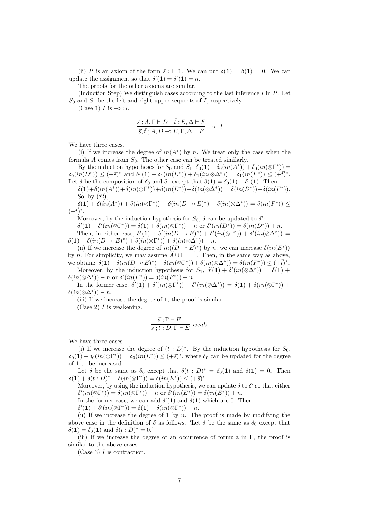(ii) P is an axiom of the form  $\vec{s}$ ;  $\vdash$  1. We can put  $\delta(1) = \delta(1) = 0$ . We can update the assignment so that  $\delta'(1) = \delta'(1) = n$ .

The proofs for the other axioms are similar.

(Induction Step) We distinguish cases according to the last inference  $I$  in  $P$ . Let  $S_0$  and  $S_1$  be the left and right upper sequents of I, respectively.

(Case 1)  $I$  is  $\multimap$  :  $l$ .

$$
\frac{\vec{s} \, ; A, \Gamma \vdash D \quad \vec{t} \, ; E, \Delta \vdash F}{\vec{s}, \vec{t} \, ; A, D \multimap E, \Gamma, \Delta \vdash F} \multimap : l
$$

We have three cases.

(i) If we increase the degree of  $in(A^*)$  by n. We treat only the case when the formula  $A$  comes from  $S_0$ . The other case can be treated similarly.

By the induction hypotheses for  $S_0$  and  $S_1$ ,  $\delta_0(1) + \delta_0(in(A^*)) + \delta_0(in(\otimes \Gamma^*)) =$  $\delta_0(in(D^*)) \leq (+\vec{s})^*$  and  $\delta_1(1) + \delta_1(in(E^*)) + \delta_1(in(\otimes \Delta^*)) = \delta_1(in(F^*)) \leq (+\vec{t})^*.$ Let  $\delta$  be the composition of  $\delta_0$  and  $\delta_1$  except that  $\delta(1) = \delta_0(1) + \delta_1(1)$ . Then

 $\delta(1)+\delta(in(A^*))+\delta(in(\otimes\Gamma^*))+\delta(in(E^*))+\delta(in(\otimes\Delta^*))=\delta(in(D^*))+\delta(in(F^*)).$ So, by  $(b2)$ ,

 $\delta(1) + \delta(in(A^*)) + \delta(in(\otimes \Gamma^*)) + \delta(in(D \multimap E)^*) + \delta(in(\otimes \Delta^*)) = \delta(in(F^*)) \leq$  $(+t)^{*}.$ 

Moreover, by the induction hypothesis for  $S_0$ ,  $\delta$  can be updated to  $\delta'$ :

 $\delta'(1) + \delta'(in(\otimes \Gamma^*)) = \delta(1) + \delta(in(\otimes \Gamma^*)) - n \text{ or } \delta'(in(D^*)) = \delta(in(D^*)) + n.$ Then, in either case,  $\delta'(1) + \delta'(in(D \multimap E)^*) + \delta'(in(\otimes \Gamma^*)) + \delta'(in(\otimes \Delta^*)) =$  $\delta(1) + \delta(in(D \multimap E)^*) + \delta(in(\otimes \Gamma^*)) + \delta(in(\otimes \Delta^*)) - n.$ 

(ii) If we increase the degree of  $in((D \neg b E)^*)$  by n, we can increase  $\delta(in(E^*))$ by n. For simplicity, we may assume  $A \cup \Gamma = \Gamma$ . Then, in the same way as above, we obtain:  $\delta(1) + \delta(in(D \neg D))^*) + \delta(in(\otimes \Gamma^*))^* + \delta(in(\otimes \Delta^*))^*) = \delta(in(F^*))^* \leq (+\overline{t})^*.$ 

Moreover, by the induction hypothesis for  $S_1$ ,  $\delta'(1) + \delta'(in(\otimes \Delta^*)) = \delta(1) +$  $\delta(in(\otimes \Delta^*)) - n \text{ or } \delta'(in(F^*)) = \delta(in(F^*)) + n.$ 

In the former case,  $\delta'(1) + \delta'(in(\otimes \Gamma^*)) + \delta'(in(\otimes \Delta^*)) = \delta(1) + \delta(in(\otimes \Gamma^*)) +$  $\delta(in(\otimes\Delta^*))-n.$ 

(iii) If we increase the degree of 1, the proof is similar.

(Case 2)  $I$  is weakening.

$$
\frac{\vec{s}:\Gamma \vdash E}{\vec{s}:\vec{t}:D,\Gamma \vdash E} \ weak.
$$

We have three cases.

(i) If we increase the degree of  $(t : D)^*$ . By the induction hypothesis for  $S_0$ ,  $\delta_0(1) + \delta_0(in(\otimes \Gamma^*)) = \delta_0(in(E^*)) \leq (+\vec{s})^*$ , where  $\delta_0$  can be updated for the degree of 1 to be increased.

Let  $\delta$  be the same as  $\delta_0$  except that  $\delta(t : D)^* = \delta_0(1)$  and  $\delta(1) = 0$ . Then  $\delta(1) + \delta(t : D)^* + \delta(in(\otimes \Gamma^*)) = \delta(in(E^*)) \leq (+\vec{s})^*$ 

Moreover, by using the induction hypothesis, we can update  $\delta$  to  $\delta'$  so that either  $\delta'(in(\otimes \Gamma^*)) = \delta(in(\otimes \Gamma^*)) - n \text{ or } \delta'(in(E^*)) = \delta(in(E^*)) + n.$ 

In the former case, we can add  $\delta'(1)$  and  $\delta(1)$  which are 0. Then

 $\delta'(\mathbf{1}) + \delta'(in(\otimes \Gamma^*)) = \delta(\mathbf{1}) + \delta(in(\otimes \Gamma^*)) - n.$ 

(ii) If we increase the degree of  $1$  by  $n$ . The proof is made by modifying the above case in the definition of  $\delta$  as follows: 'Let  $\delta$  be the same as  $\delta_0$  except that  $\delta(\mathbf{1}) = \delta_0(\mathbf{1})$  and  $\delta(t : D)^* = 0$ .

(iii) If we increase the degree of an occurrence of formula in  $\Gamma$ , the proof is similar to the above cases.

(Case 3)  $I$  is contraction.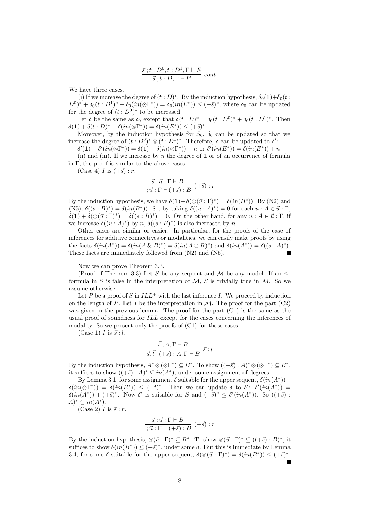$$
\frac{\vec{s} \,; t : D^0, t : D^1, \Gamma \vdash E}{\vec{s} \,; t : D, \Gamma \vdash E} \ cont.
$$

We have three cases.

(i) If we increase the degree of  $(t : D)^*$ . By the induction hypothesis,  $\delta_0(1) + \delta_0(t)$ :  $(D^{0})^{*} + \delta_{0}(t : D^{1})^{*} + \delta_{0}(in(\otimes \Gamma^{*})) = \delta_{0}(in(E^{*})) \leq (+\vec{s})^{*}$ , where  $\delta_{0}$  can be updated for the degree of  $(t : D<sup>0</sup>)^*$  to be increased.

Let  $\delta$  be the same as  $\delta_0$  except that  $\delta(t:D)^* = \delta_0(t:D^0)^* + \delta_0(t:D^1)^*$ . Then  $\delta(1) + \delta(t : D)^* + \delta(in(\otimes \Gamma^*)) = \delta(in(E^*)) \leq (+\vec{s})^*$ 

Moreover, by the induction hypothesis for  $S_0$ ,  $\delta_0$  can be updated so that we increase the degree of  $(t : D^0)^* \otimes (t : D^1)^*$ . Therefore,  $\delta$  can be updated to  $\delta'$ :

 $\delta'(1) + \delta'(in(\otimes \Gamma^*)) = \delta(1) + \delta(in(\otimes \Gamma^*)) - n \text{ or } \delta'(in(E^*)) = \delta(in(E^*)) + n.$ 

(ii) and (iii). If we increase by n the degree of  $1$  or of an occurrence of formula in  $\Gamma$ , the proof is similar to the above cases.

(Case 4) I is  $(+\vec{s})$  : r.

$$
\frac{\vec{s} \cdot \vec{u} : \Gamma \vdash B}{\cdot \vec{u} : \Gamma \vdash (+\vec{s}) : B} \ (+\vec{s}) : r
$$

By the induction hypothesis, we have  $\delta(1)+\delta(\otimes(\vec{u}:\Gamma)^*)=\delta(in(B^*))$ . By (N2) and  $(N5), \delta((s : B)^*) = \delta(in(B^*)).$  So, by taking  $\delta((u : A)^*) = 0$  for each  $u : A \in \vec{u} : \Gamma$ ,  $\delta(\mathbf{1}) + \delta(\otimes (\vec{u} : \Gamma)^*) = \delta((s : B)^*) = 0$ . On the other hand, for any  $u : A \in \vec{u} : \Gamma$ , if we increase  $\delta((u : A)^*)$  by n,  $\delta((s : B)^*)$  is also increased by n.

Other cases are similar or easier. In particular, for the proofs of the case of inferences for additive connectives or modalities, we can easily make proofs by using the facts  $\delta(in(A^*)) = \delta(in(A \& B)^*) = \delta(in(A \oplus B)^*)$  and  $\delta(in(A^*)) = \delta((s : A)^*)$ . These facts are immediately followed from (N2) and (N5).

Now we can prove Theorem 3.3.

(Proof of Theorem 3.3) Let S be any sequent and M be any model. If an  $\leq$ formula in S is false in the interpretation of  $M$ , S is trivially true in M. So we assume otherwise.

Let P be a proof of S in  $ILL^+$  with the last inference I. We proceed by induction on the length of P. Let  $*$  be the interpretation in M. The proof for the part (C2) was given in the previous lemma. The proof for the part (C1) is the same as the usual proof of soundness for ILL except for the cases concerning the inferences of modality. So we present only the proofs of  $(C1)$  for those cases.

(Case 1)  $I$  is  $\vec{s}$  :  $l$ .

$$
\frac{\vec{t}; A, \Gamma \vdash B}{\vec{s}, \vec{t}; (+\vec{s}) : A, \Gamma \vdash B} \ \vec{s} : l
$$

By the induction hypothesis,  $A^* \otimes (\otimes \Gamma^*) \subseteq B^*$ . To show  $((+\vec{s}) : A)^* \otimes (\otimes \Gamma^*) \subseteq B^*$ , it suffices to show  $((+\vec{s}) : A)^* \subseteq in(A^*)$ , under some assignment of degrees.

By Lemma 3.1, for some assignment  $\delta$  suitable for the upper sequent,  $\delta(in(A^*))$ +  $\delta(in(\otimes \Gamma^*)) = \delta(in(B^*)) \leq (+\vec{t})^*$ . Then we can update  $\delta$  to  $\delta'$ :  $\delta'(in(A^*))$  $\delta(in(A^*)) + (+\vec{s})^*$ . Now  $\delta'$  is suitable for S and  $(+\vec{s})^* \leq \delta'(in(A^*))$ . So  $((+\vec{s})$ :  $A^* \subseteq in(A^*).$ 

(Case 2)  $I$  is  $\vec{s}$  : r.

$$
\frac{\vec{s} \; ; \vec{u} \; ; \; \Gamma \vdash B}{; \vec{u} \; ; \; \Gamma \vdash (+\vec{s}) \; ; \; B} \; (+\vec{s}) \; ; \, r
$$

By the induction hypothesis,  $\otimes (\vec{u} : \Gamma)^* \subseteq B^*$ . To show  $\otimes (\vec{u} : \Gamma)^* \subseteq ((+\vec{s}) : B)^*$ , it suffices to show  $\delta(in(B^*)) \leq (+\vec{s})^*$ , under some  $\delta$ . But this is immediate by Lemma 3.4; for some  $\delta$  suitable for the upper sequent,  $\delta(\otimes(\vec{u} : \Gamma)^*) = \delta(in(B^*)) \leq (+\vec{s})^*$ .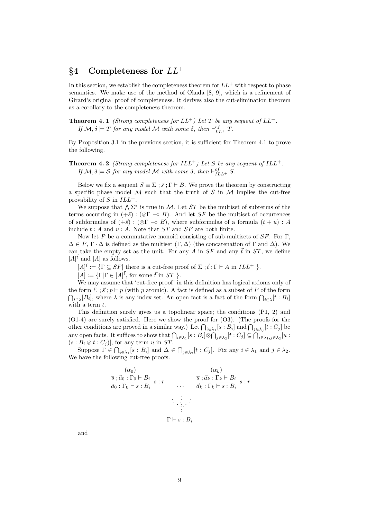## $§4$  Completeness for  $LL^+$

In this section, we establish the completeness theorem for  $LL^+$  with respect to phase semantics. We make use of the method of Okada [8, 9], which is a refinement of Girard's original proof of completeness. It derives also the cut-elimination theorem as a corollary to the completeness theorem.

**Theorem 4.1** (Strong completeness for  $LL^+$ ) Let T be any sequent of  $LL^+$ . If  $M, \delta \models T$  for any model M with some  $\delta$ , then  $\vdash_{LL+}^{cf} T$ .

By Proposition 3.1 in the previous section, it is sufficient for Theorem 4.1 to prove the following.

**Theorem 4.2** (Strong completeness for  $ILL^+$ ) Let S be any sequent of  $ILL^+$ . If  $M, \delta \models S$  for any model M with some  $\delta$ , then  $\vdash_{ILL+}^{cf} S$ .

Below we fix a sequent  $S \equiv \Sigma$ ;  $\vec{s}$ ;  $\Gamma \vdash B$ . We prove the theorem by constructing a specific phase model M such that the truth of S in M implies the cut-free provability of S in  $ILL^+$ .

We suppose that  $\bigwedge \Sigma^*$  is true in M. Let ST be the multiset of subterms of the terms occurring in  $(+\vec{s})$ : (⊗Г –◦ B). And let SF be the multiset of occurrences of subformulas of  $(+\vec{s})$  :  $(\otimes \Gamma \multimap B)$ , where subformulas of a formula  $(t+u)$  : A include  $t : A$  and  $u : A$ . Note that  $ST$  and  $SF$  are both finite.

Now let P be a commutative monoid consisting of sub-multisets of  $SF$ . For  $\Gamma$ ,  $\Delta \in P$ ,  $\Gamma \cdot \Delta$  is defined as the multiset  $(\Gamma, \Delta)$  (the concatenation of  $\Gamma$  and  $\Delta$ ). We can take the empty set as the unit. For any A in  $SF$  and any  $\vec{t}$  in  $ST$ , we define  $[A]^{t}$  and  $[A]$  as follows.

 $[A]^{\vec{t}} := {\{\Gamma \subseteq SF | \underline{\phantom{a}}$ there is a cut-free proof of $\Sigma$ ; } \vec{t} \cdot {\Gamma \vdash A$ in } ILL^+ {\}}.$ 

 $[A] := {\{\Gamma | \Gamma \in [A]^{\vec{t}}\}}$ , for some  $\vec{t}$  in  $ST$  }.

We may assume that 'cut-free proof' in this definition has logical axioms only of the form  $\Sigma$ ;  $\vec{s}$ ;  $p \vdash p$  (with p atomic). A fact is defined as a subset of P of the form  $\bigcap_{i\in\lambda}[B_i]$ , where  $\lambda$  is any index set. An open fact is a fact of the form  $\bigcap_{i\in\lambda}[t:B_i]$ with a term  $t$ .

This definition surely gives us a topolinear space; the conditions (P1, 2) and (O1-4) are surely satisfied. Here we show the proof for (O3). (The proofs for the other conditions are proved in a similar way.) Let  $\bigcap_{i\in\lambda_1}[s:B_i]$  and  $\bigcap_{j\in\lambda_j}[t:C_j]$  be any open facts. It suffices to show that  $\bigcap_{i\in\lambda_1} [s:B_i]\otimes \bigcap_{j\in\lambda_2} [t:C_j]\subseteq \bigcap_{i\in\lambda_1,j\in\lambda_2} [u:]$  $(s : B_i \otimes t : C_j)$ , for any term u in ST.

Suppose  $\Gamma \in \bigcap_{i \in \lambda_1} [s : B_i]$  and  $\Delta \in \bigcap_{j \in \lambda_2} [t : C_j]$ . Fix any  $i \in \lambda_1$  and  $j \in \lambda_2$ . We have the following cut-free proofs.

$$
\frac{(\alpha_0)}{\overline{s} \, ; \overline{a}_0 : \Gamma_0 \vdash B_i} \, s : r \qquad \overline{\overline{a}} \, ; \overline{a}_k : \Gamma_k \vdash B_i \, s : r
$$
\n
$$
\overline{\overline{a}} \, ; \Gamma_0 \vdash s : B_i \, s : r \qquad \dots \qquad \overline{\overline{a}} \, ; \Gamma_k \vdash s : B_i \, s : r
$$
\n
$$
\dots \qquad \dots \qquad \dots \qquad \dots
$$
\n
$$
\Gamma \vdash s : B_i
$$

and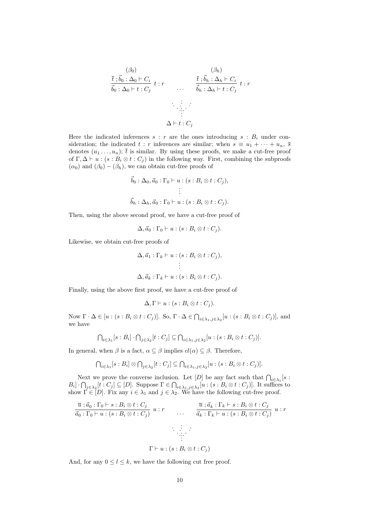$$
\frac{(\beta_0)}{\vec{t} \cdot \vec{b}_0 : \Delta_0 \vdash C_i} \quad t : r \qquad \qquad \frac{\vec{t} \cdot \vec{b}_h : \Delta_h \vdash C_i}{\vec{b}_0 : \Delta_0 \vdash t : C_j} \quad t : r \qquad \qquad \dots \qquad \frac{\vec{t} \cdot \vec{b}_h : \Delta_h \vdash C_i}{\vec{b}_h : \Delta_h \vdash t : C_j} \quad t : r
$$
\n
$$
\Delta \vdash t : C_j
$$

Here the indicated inferences  $s : r$  are the ones introducing  $s : B_i$  under consideration; the indicated t : r inferences are similar; when  $s \equiv u_1 + \cdots + u_n$ ,  $\overline{s}$ denotes  $(u_1 \ldots, u_n)$ ;  $\overline{t}$  is similar. By using these proofs, we make a cut-free proof of  $\Gamma, \Delta \vdash u : (s : B_i \otimes t : C_j)$  in the following way. First, combining the subproofs  $(\alpha_0)$  and  $(\beta_0) - (\beta_h)$ , we can obtain cut-free proofs of

$$
\vec{b}_0 : \Delta_0, \vec{a}_0 : \Gamma_0 \vdash u : (s : B_i \otimes t : C_j),
$$
\n
$$
\vdots
$$
\n
$$
\vec{b}_h : \Delta_h, \vec{a}_0 : \Gamma_0 \vdash u : (s : B_i \otimes t : C_j).
$$

Then, using the above second proof, we have a cut-free proof of

$$
\Delta, \vec{a}_0 : \Gamma_0 \vdash u : (s : B_i \otimes t : C_j).
$$

Likewise, we obtain cut-free proofs of

$$
\Delta, \vec{a}_1 : \Gamma_k \vdash u : (s : B_i \otimes t : C_j),
$$
  

$$
\vdots
$$
  

$$
\Delta, \vec{a}_k : \Gamma_k \vdash u : (s : B_i \otimes t : C_j).
$$

Finally, using the above first proof, we have a cut-free proof of

$$
\Delta, \Gamma \vdash u : (s : B_i \otimes t : C_j).
$$

Now  $\Gamma \cdot \Delta \in [u : (s : B_i \otimes t : C_j)]$ . So,  $\Gamma \cdot \Delta \in \bigcap_{i \in \lambda_1, j \in \lambda_2} [u : (s : B_i \otimes t : C_j)]$ , and we have

$$
\bigcap_{i\in\lambda_1}[s:B_i]\cdot \bigcap_{j\in\lambda_2}[t:C_j]\subseteq \bigcap_{i\in\lambda_1,j\in\lambda_2}[u:(s:B_i\otimes t:C_j)].
$$

In general, when  $\beta$  is a fact,  $\alpha \subseteq \beta$  implies  $cl(\alpha) \subseteq \beta$ . Therefore,

$$
\bigcap_{i\in\lambda_1}[s:B_i]\otimes\bigcap_{j\in\lambda_2}[t:C_j]\subseteq\bigcap_{i\in\lambda_1,j\in\lambda_2}[u:(s:B_i\otimes t:C_j)].
$$

Next we prove the converse inclusion. Let  $[D]$  be any fact such that  $\bigcap_{i\in\lambda_1} [s :$  $B_i] \cdot \bigcap_{j \in \lambda_2} [t : C_j] \subseteq [D]$ . Suppose  $\Gamma \in \bigcap_{i \in \lambda_1, j \in \lambda_2} [u : (s : B_i \otimes t : C_j)]$ . It suffices to show  $\overline{\Gamma} \in [D]$ . Fix any  $i \in \lambda_1$  and  $j \in \lambda_2$ . We have the following cut-free proof.

$$
\overline{u} \; ; \; \overline{a}_0 : \Gamma_0 \vdash s : B_i \otimes t : C_j
$$
\n
$$
\overline{a}_0 : \Gamma_0 \vdash u : (s : B_i \otimes t : C_j) \quad u : r
$$
\n
$$
\vdots
$$
\n
$$
\overline{a}_k : \Gamma_k \vdash u : (s : B_i \otimes t : C_j) \quad u : r
$$
\n
$$
\vdots
$$
\n
$$
\vdots
$$
\n
$$
\Gamma \vdash u : (s : B_i \otimes t : C_j)
$$
\n
$$
\Gamma \vdash u : (s : B_i \otimes t : C_j)
$$

And, for any  $0 \leq l \leq k$ , we have the following cut free proof.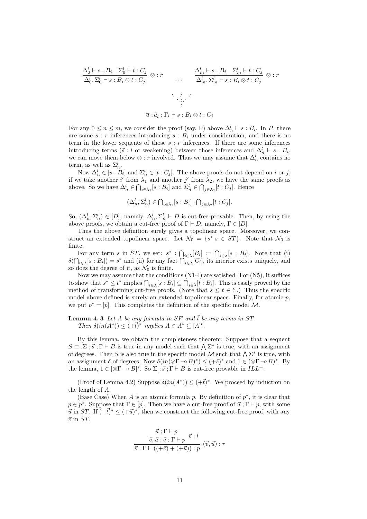$$
\frac{\Delta_0^l \vdash s : B_i \quad \Sigma_0^l \vdash t : C_j}{\Delta_0^l, \Sigma_0^l \vdash s : B_i \otimes t : C_j} \otimes : r \qquad \dots \qquad \frac{\Delta_m^l \vdash s : B_i \quad \Sigma_m^l \vdash t : C_j}{\Delta_m^l, \Sigma_m^l \vdash s : B_i \otimes t : C_j} \otimes : r
$$
\n
$$
\vdots \qquad \vdots \qquad \vdots
$$
\n
$$
\overline{u} : \overline{a}_l : \Gamma_l \vdash s : B_i \otimes t : C_j
$$

For any  $0 \le n \le m$ , we consider the proof (say, P) above  $\Delta_n^l \vdash s : B_i$ . In P, there are some  $s : r$  inferences introducing  $s : B<sub>i</sub>$  under consideration, and there is no term in the lower sequents of those  $s : r$  inferences. If there are some inferences introducing terms ( $\vec{s}$  : l or weakening) between those inferences and  $\Delta_n^l \vdash s : B_i$ , we can move them below  $\otimes$ : r involved. Thus we may assume that  $\Delta_n^l$  contains no term, as well as  $\Sigma_n^l$ .

Now  $\Delta_n^l \in [s : B_i]$  and  $\Sigma_n^l \in [t : C_j]$ . The above proofs do not depend on i or j; if we take another i' from  $\lambda_1$  and another j' from  $\lambda_2$ , we have the same proofs as above. So we have  $\Delta_n^l \in \bigcap_{i \in \lambda_1} [s : B_i]$  and  $\Sigma_n^l \in \bigcap_{j \in \lambda_2} [t : C_j]$ . Hence

$$
(\Delta_n^l, \Sigma_n^l) \in \bigcap_{i \in \lambda_1} [s : B_i] \cdot \bigcap_{j \in \lambda_2} [t : C_j].
$$

So,  $(\Delta_n^l, \Sigma_n^l) \in [D]$ , namely,  $\Delta_n^l, \Sigma_n^l \vdash D$  is cut-free provable. Then, by using the above proofs, we obtain a cut-free proof of  $\Gamma \vdash D$ , namely,  $\Gamma \in [D]$ .

Thus the above definition surely gives a topolinear space. Moreover, we construct an extended topolinear space. Let  $\mathcal{N}_0 = \{s^* | s \in ST\}$ . Note that  $\mathcal{N}_0$  is finite.

For any term s in ST, we set:  $s^* : \bigcap_{i \in \lambda} [B_i] := \bigcap_{i \in \lambda} [s : B_i]$ . Note that (i)  $\delta(\bigcap_{i \in \lambda} [s : B_i]) = s^*$  and (ii) for any fact  $\bigcap_{i \in \lambda} [C_i]$ , its interior exists uniquely, and so does the degree of it, as  $\mathcal{N}_0$  is finite.

Now we may assume that the conditions (N1-4) are satisfied. For (N5), it suffices to show that  $s^* \leq t^*$  implies  $\bigcap_{i \in \lambda} [s : B_i] \subseteq \bigcap_{i \in \lambda} [t : B_i]$ . This is easily proved by the method of transforming cut-free proofs. (Note that  $s \le t \in \Sigma$ .) Thus the specific model above defined is surely an extended topolinear space. Finally, for atomic  $p$ , we put  $p^* = [p]$ . This completes the definition of the specific model M.

#### **Lemma 4.3** Let A be any formula in SF and  $\vec{t}$  be any terms in ST. Then  $\delta(in(A^*)) \leq (+\vec{t})^*$  implies  $A \in A^* \subseteq [A]^{\vec{t}}$ .

By this lemma, we obtain the completeness theorem: Suppose that a sequent  $S \equiv \Sigma$ ;  $\vec{s}$ ;  $\Gamma \vdash B$  is true in any model such that  $\bigwedge \Sigma^*$  is true, with an assignment of degrees. Then S is also true in the specific model M such that  $\bigwedge \Sigma^*$  is true, with an assignment  $\delta$  of degrees. Now  $\delta(in(\otimes \Gamma \neg B)^*) \leq (+\vec{s})^*$  and  $1 \in (\otimes \Gamma \neg B)^*$ . By the lemma,  $1 \in [\otimes \Gamma \to B]^{\vec{s}}$ . So  $\Sigma$ ;  $\vec{s}$ ;  $\Gamma \vdash B$  is cut-free provable in  $ILL^+$ .

(Proof of Lemma 4.2) Suppose  $\delta(in(A^*)) \leq (+\vec{t})^*$ . We proceed by induction on the length of A.

(Base Case) When A is an atomic formula p. By definition of  $p^*$ , it is clear that  $p \in p^*$ . Suppose that  $\Gamma \in [p]$ . Then we have a cut-free proof of  $\vec{u}$ ;  $\Gamma \vdash p$ , with some  $\vec{u}$  in ST. If  $(+\vec{t})^* \leq (+\vec{u})^*$ , then we construct the following cut-free proof, with any  $\vec{v}$  in  $ST$ .

$$
\frac{\vec{u} \,;\Gamma \vdash p}{\vec{v}, \vec{u} \,;\vec{v} \,;\Gamma \vdash p} \,\vec{v} : l
$$
\n
$$
\vec{v} : \Gamma \vdash ((+\vec{v}) + (+\vec{u})) : p \,(\vec{v}, \vec{u}) : r
$$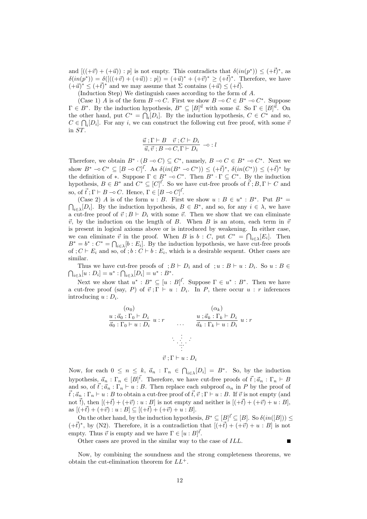and  $[((+ \vec{v}) + (+ \vec{u})) : p]$  is not empty. This contradicts that  $\delta(in(p^*)) \leq (+ \vec{t})^*$ , as  $\delta(in(p^*)) = \delta([((+\vec{v}) + (+\vec{u})): p]) = (+\vec{u})^* + (+\vec{v})^* > (+\vec{t})^*$ . Therefore, we have  $(+\vec{u})^* \leq (+\vec{t})^*$  and we may assume that  $\Sigma$  contains  $(+\vec{u}) \leq (+\vec{t}).$ 

(Induction Step) We distinguish cases according to the form of A.

(Case 1) A is of the form  $B \nightharpoonup C$ . First we show  $B \nightharpoonup C \in B^* \nightharpoonup C^*$ . Suppose  $\Gamma \in B^*$ . By the induction hypothesis,  $B^* \subseteq [B]^{\vec{u}}$  with some  $\vec{u}$ . So  $\Gamma \in [B]^{\vec{u}}$ . On the other hand, put  $C^* = \bigcap_i [D_i]$ . By the induction hypothesis,  $C \in C^*$  and so,  $C \in \bigcap_i [D_i]$ . For any i, we can construct the following cut free proof, with some  $\overline{v}$ in ST.

$$
\frac{\vec{u}; \Gamma \vdash B \quad \vec{v}; C \vdash D_i}{\vec{u}, \vec{v}; B \multimap C, \Gamma \vdash D_i} \multimap : l
$$

Therefore, we obtain  $B^* \cdot (B \neg o C) \subseteq C^*$ , namely,  $B \neg o C \in B^* \neg o C^*$ . Next we show  $B^* \neg o C^* \subseteq [B \neg o C]^t$ . As  $\delta(in(B^* \neg o C^*)) \le (+t)^*$ ,  $\delta(in(C^*)) \le (+t)^*$  by the definition of \*. Suppose  $\Gamma \in B^* \to C^*$ . Then  $B^* \cdot \Gamma \subseteq C^*$ . By the induction hypothesis,  $B \in B^*$  and  $C^* \subseteq [C]^{\vec{t}}$ . So we have cut-free proofs of  $\vec{t}$ ;  $B, \Gamma \vdash C$  and so, of  $\vec{t}$ ;  $\Gamma \vdash B \multimap C$ . Hence,  $\Gamma \in [B \multimap C]^{\vec{t}}$ .

(Case 2) A is of the form  $u : B$ . First we show  $u : B \in u^* : B^*$ . Put  $B^* = \bigcap_{i \in \lambda} [D_i]$ . By the induction hypothesis,  $B \in B^*$ , and so, for any  $i \in \lambda$ , we have a cut-free proof of  $\vec{v}$ ;  $B \vdash D_i$  with some  $\vec{v}$ . Then we show that we can eliminate  $\vec{v}$ , by the induction on the length of B. When B is an atom, each term in  $\vec{v}$ is present in logical axioms above or is introduced by weakening. In either case, we can eliminate  $\vec{v}$  in the proof. When B is  $b : C$ , put  $C^* = \bigcap_{i \in \lambda} [E_i]$ . Then  $B^* = b^* : C^* = \bigcap_{i \in \lambda}[b : E_i]$ . By the induction hypothesis, we have cut-free proofs of ;  $C \vdash E_i$  and so, of ;  $b : C \vdash b : E_i$ , which is a desirable sequent. Other cases are similar.

Thus we have cut-free proofs of ;  $B \vdash D_i$  and of ;  $u : B \vdash u : D_i$ . So  $u : B \in$  $\bigcap_{i\in\lambda}[u:D_i] = u^* : \bigcap_{i\in\lambda}[D_i] = u^* : B^*.$ 

Next we show that  $u^* : B^* \subseteq [u : B]^t$ . Suppose  $\Gamma \in u^* : B^*$ . Then we have a cut-free proof (say, P) of  $\vec{v}$ ;  $\Gamma \vdash u : D_i$ . In P, there occur  $u : r$  inferences introducing  $u : D_i$ .

$$
(a_0)
$$
  
\n
$$
\frac{u \, \overrightarrow{a_0} \, \cdot \, \Gamma_0 \vdash D_i}{\overrightarrow{a_0} \, \cdot \, \Gamma_0 \vdash u \, \cdot D_i} \, u \, \cdot r
$$
  
\n
$$
\dots \qquad \frac{u \, \cdot \overrightarrow{a_k} \, \cdot \, \Gamma_k \vdash D_i}{\overrightarrow{a_k} \, \cdot \, \Gamma_k \vdash u \, \cdot D_i} \, u \, \cdot r
$$
  
\n
$$
\vdots
$$
  
\n
$$
\overrightarrow{v} \, \cdot \, \Gamma \vdash u \, \cdot D_i
$$

Now, for each  $0 \leq n \leq k$ ,  $\vec{a}_n : \Gamma_n \in \bigcap_{i \in \lambda} [D_i] = B^*$ . So, by the induction hypothesis,  $\vec{a}_n : \Gamma_n \in [B]^{\vec{t}}$ . Therefore, we have cut-free proofs of  $\vec{t}$ ;  $\vec{a}_n : \Gamma_n \vdash B$ and so, of  $\vec{t}$ ;  $\vec{a}_n : \Gamma_n \vdash u : B$ . Then replace each subproof  $\alpha_n$  in P by the proof of  $\vec{t}$ ;  $\vec{a}_n$ :  $\Gamma_n \vdash u : B$  to obtain a cut-free proof of  $\vec{t}, \vec{v}$ ;  $\Gamma \vdash u : B$ . If  $\vec{v}$  is not empty (and not  $\vec{l}$ , then  $[(+\vec{t}) + (+\vec{v}) : u : B]$  is not empty and neither is  $[(+\vec{t}) + (+\vec{v}) + u : B]$ , as  $[(+{\vec{t}}) + (+{\vec{v}}) : u : B] \subseteq [(+{\vec{t}}) + (+{\vec{v}}) + u : B].$ 

On the other hand, by the induction hypothesis,  $B^* \subseteq [B]^{\vec{t}} \subseteq [B]$ . So  $\delta(in([B])) \le$  $(+\vec{t})^*$ , by (N2). Therefore, it is a contradiction that  $[(+\vec{t}) + (+\vec{v}) + u : B]$  is not empty. Thus  $\vec{v}$  is empty and we have  $\Gamma \in [u : B]^{\vec{t}}$ .

Other cases are proved in the similar way to the case of ILL.

Now, by combining the soundness and the strong completeness theorems, we obtain the cut-elimination theorem for  $LL^+$ .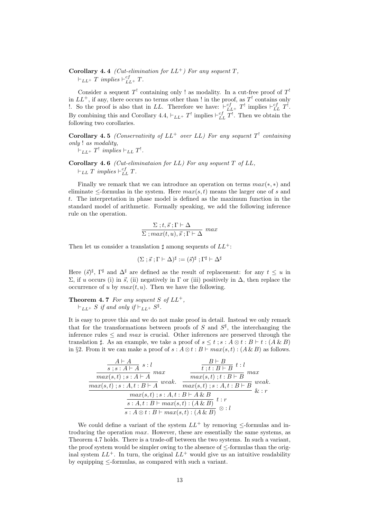### **Corollary 4.4** (Cut-elimination for  $LL^+$ ) For any sequent T,  $\vdash_{LL+} T \implies \vdash_{LL+}^{cf} T.$

Consider a sequent  $T'$  containing only ! as modality. In a cut-free proof of  $T'$ in  $LL^+$ , if any, there occurs no terms other than ! in the proof, as  $T^!$  contains only !. So the proof is also that in LL. Therefore we have:  $\vdash_{LL+}^{cf} T^!$  implies  $\vdash_{LL}^{cf} T^!$ . By combining this and Corollary 4.4,  $\vdash_{LL} T'$  implies  $\vdash_{LL}^{cf} T'$ . Then we obtain the following two corollaries.

Corollary 4.5 (Conservativity of  $LL^+$  over  $LL$ ) For any sequent  $T^!$  containing only ! as modality,

 $\vdash_{LL^+} T^!$  implies  $\vdash_{LL} T^!$ .

Corollary 4.6 (Cut-eliminataion for  $LL$ ) For any sequent  $T$  of  $LL$ ,  $\vdash_{LL} T \implies \vdash_{LL}^{cf} T.$ 

Finally we remark that we can introduce an operation on terms  $max(*, *)$  and eliminate  $\leq$ -formulas in the system. Here  $max(s,t)$  means the larger one of s and t. The interpretation in phase model is defined as the maximum function in the standard model of arithmetic. Formally speaking, we add the following inference rule on the operation.

$$
\frac{\Sigma \, ;t,\vec{s}\,;\Gamma \vdash \Delta}{\Sigma \, ;max(t,u),\vec{s}\,;\Gamma \vdash \Delta} \ max
$$

Then let us consider a translation  $\sharp$  among sequents of  $LL^+$ :

$$
(\Sigma;\vec{s};\Gamma\vdash\Delta)^{\sharp}:=(\vec{s})^{\sharp};\Gamma^{\sharp}\vdash\Delta^{\sharp}
$$

Here  $(\vec{s})^{\sharp}$ ,  $\Gamma^{\sharp}$  and  $\Delta^{\sharp}$  are defined as the result of replacement: for any  $t \leq u$  in Σ, if u occurs (i) in  $\vec{s}$ , (ii) negatively in Γ or (iii) positively in Δ, then replace the occurrence of u by  $max(t, u)$ . Then we have the following.

**Theorem 4.7** For any sequent S of  $LL^+$ ,  $\vdash_{LL^{+}} S$  if and only if  $\vdash_{LL^{+}} S^{\sharp}$ .

It is easy to prove this and we do not make proof in detail. Instead we only remark that for the transformations between proofs of S and  $S^{\sharp}$ , the interchanging the inference rules  $\leq$  and *max* is crucial. Other inferences are preserved through the translation  $\sharp$ . As an example, we take a proof of  $s \leq t : s : A \otimes t : B \vdash t : (A \& B)$ in §2. From it we can make a proof of  $s : A \otimes t : B \vdash max(s,t) : (A \& B)$  as follows.

| $\frac{A \vdash A}{s \; ; s : A \vdash A} \; s : l$             | $\frac{B \vdash B}{t : t : B \vdash B} t : l$                  |  |
|-----------------------------------------------------------------|----------------------------------------------------------------|--|
| max<br>$max(s,t)$ ; $s: A \vdash A$                             | max<br>$max(s,t); t : \overline{B \vdash B}$                   |  |
| weak.<br>$max(s,t)$ ; $\overline{s:A,t:B\vdash A}$              | weak.<br>$max(s,t); s:A,t:B\vdash \overline{B}$<br>$\&\cdot r$ |  |
| $max(s,t)$ ; $s:A,t:B\vdash A\&B$<br>t:r                        |                                                                |  |
| $s: A, t: B \vdash max(s,t): (A \& B)$<br>$\cdot \,\otimes : l$ |                                                                |  |
| $\overline{s: A \otimes t : B \vdash max(s,t) : (A \& B)}$      |                                                                |  |

We could define a variant of the system  $LL^+$  by removing  $\leq$ -formulas and introducing the operation max. However, these are essentially the same systems, as Theorem 4.7 holds. There is a trade-off between the two systems. In such a variant, the proof system would be simpler owing to the absence of ≤-formulas than the original system  $LL^+$ . In turn, the original  $LL^+$  would give us an intuitive readability by equipping  $\leq$ -formulas, as compared with such a variant.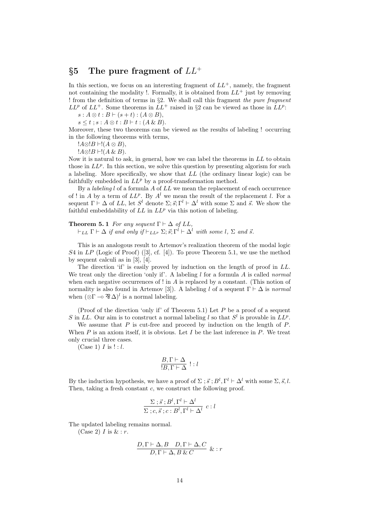## §5 The pure fragment of  $LL^+$

In this section, we focus on an interesting fragment of  $LL^+$ , namely, the fragment not containing the modality !. Formally, it is obtained from  $LL^+$  just by removing ! from the definition of terms in  $\S2$ . We shall call this fragment the pure fragment  $LL^p$  of  $LL^+$ . Some theorems in  $LL^+$  raised in §2 can be viewed as those in  $LL^p$ :

 $s: A \otimes t : B \vdash (s + t) : (A \otimes B),$ 

 $s \leq t$ ;  $s : A \otimes t : B \vdash t : (A \& B).$ 

Moreover, these two theorems can be viewed as the results of labeling ! occurring in the following theorems with terms,

 $!A\otimes B \vdash !(A \otimes B),$ 

 $!A\otimes B \vdash !(A \& B).$ 

Now it is natural to ask, in general, how we can label the theorems in  $LL$  to obtain those in  $LL^p$ . In this section, we solve this question by presenting algorism for such a labeling. More specifically, we show that LL (the ordinary linear logic) can be faithfully embedded in  $LL^p$  by a proof-transformation method.

By a *labeling l* of a formula A of  $LL$  we mean the replacement of each occurrence of ! in A by a term of  $LL^p$ . By  $A^l$  we mean the result of the replacement l. For a sequent  $\Gamma \vdash \Delta$  of LL, let  $S^l$  denote  $\Sigma; \vec{s}; \Gamma^l \vdash \Delta^l$  with some  $\Sigma$  and  $\vec{s}$ . We show the faithful embeddability of  $LL$  in  $LL^p$  via this notion of labeling.

**Theorem 5.1** For any sequent  $\Gamma \vdash \Delta$  of LL,  $\vdash_{LL} \Gamma \vdash \Delta$  if and only if  $\vdash_{LLP} \Sigma; \vec{s}; \Gamma^l \vdash \Delta^l$  with some  $l, \Sigma$  and  $\vec{s}$ .

This is an analogous result to Artemov's realization theorem of the modal logic  $S4$  in  $LP$  (Logic of Proof) ([3], cf. [4]). To prove Theorem 5.1, we use the method by sequent calculi as in [3], [4].

The direction 'if' is easily proved by induction on the length of proof in LL. We treat only the direction 'only if'. A labeling  $l$  for a formula A is called *normal* when each negative occurrences of ! in  $A$  is replaced by a constant. (This notion of normality is also found in Artemov [3]). A labeling l of a sequent  $\Gamma \vdash \Delta$  is normal when  $(\mathcal{D}\Gamma \to \mathcal{B}\Delta)^l$  is a normal labeling.

(Proof of the direction 'only if' of Theorem 5.1) Let  $P$  be a proof of a sequent S in LL. Our aim is to construct a normal labeling l so that  $S^l$  is provable in  $LL^p$ .

We assume that  $P$  is cut-free and proceed by induction on the length of  $P$ . When  $P$  is an axiom itself, it is obvious. Let  $I$  be the last inference in  $P$ . We treat only crucial three cases.

(Case 1)  $I$  is  $! : l$ .

$$
\frac{B,\Gamma\vdash\Delta}{!B,\Gamma\vdash\Delta}\mathrel{!}:l
$$

By the induction hypothesis, we have a proof of  $\Sigma$ ;  $\vec{s}$ ;  $B^l$ ,  $\Gamma^l \vdash \Delta^l$  with some  $\Sigma$ ,  $\vec{s}$ ,  $l$ . Then, taking a fresh constant c, we construct the following proof.

$$
\frac{\Sigma \; ; \vec{s} \; ; B^l, \Gamma^l \vdash \Delta^l}{\Sigma \; ; c, \vec{s} \; ; c : B^l, \Gamma^l \vdash \Delta^l} \; c : l
$$

The updated labeling remains normal.

(Case 2)  $I$  is  $\&: r$ .

$$
\frac{D, \Gamma \vdash \Delta, B \quad D, \Gamma \vdash \Delta, C}{D, \Gamma \vdash \Delta, B \& C} \& : r
$$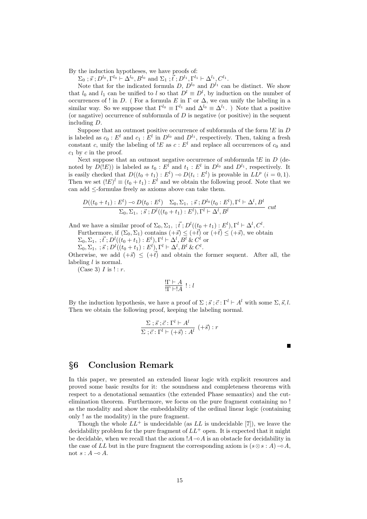By the induction hypotheses, we have proofs of:

 $\Sigma_0$ ;  $\vec{s}$ ;  $D^{l_0}$ ,  $\Gamma^{l_0}$  +  $\Delta^{l_0}$ ,  $B^{l_0}$  and  $\Sigma_1$ ;  $\vec{t}$ ;  $D^{l_1}$ ,  $\Gamma^{l_1}$  +  $\Delta^{l_1}$ ,  $C^{l_1}$ .

Note that for the indicated formula  $D, D^{l_0}$  and  $D^{l_1}$  can be distinct. We show that  $l_0$  and  $l_1$  can be unified to l so that  $D^l \equiv D^l$ , by induction on the number of occurrences of ! in D. ( For a formula E in  $\Gamma$  or  $\Delta$ , we can unify the labeling in a similar way. So we suppose that  $\Gamma^{l_0} \equiv \Gamma^{l_1}$  and  $\Delta^{l_0} \equiv \Delta^{l_1}$ . ) Note that a positive (or nagative) occurrence of subformula of  $D$  is negative (or positive) in the sequent including D.

Suppose that an outmost positive occurrence of subformula of the form  $E$  in  $D$ is labeled as  $c_0 : E^l$  and  $c_1 : E^l$  in  $D^{l_0}$  and  $D^{l_1}$ , respectively. Then, taking a fresh constant c, unify the labeling of  $E$  as  $c : E<sup>l</sup>$  and replace all occurrences of  $c_0$  and  $c_1$  by c in the proof.

Next suppose that an outmost negative occurrence of subformula  $E$  in  $D$  (denoted by  $D(E)$ ) is labeled as  $t_0 : E^{\overrightarrow{l}}$  and  $t_1 : E^{\overrightarrow{l}}$  in  $D^{\overrightarrow{l}}$  and  $D^{\overrightarrow{l}}$ , respectively. It is easily checked that  $D((t_0 + t_1) : E^l) \to D(t_i : E^l)$  is provable in  $LL^p$   $(i = 0, 1)$ . Then we set  $(!E)^l \equiv (t_0 + t_1) : E^l$  and we obtain the following proof. Note that we can add ≤-formulas freely as axioms above can take them.

$$
\frac{D((t_0+t_1):E^l) \to D(t_0:E^l) \quad \Sigma_0, \Sigma_1, \; ; \vec{s}; D^{l_0}(t_0:E^l), \Gamma^l \vdash \Delta^l, B^l}{\Sigma_0, \Sigma_1, \; ; \vec{s}; D^l((t_0+t_1):E^l), \Gamma^l \vdash \Delta^l, B^l} \text{ cut}
$$

And we have a similar proof of  $\Sigma_0$ ,  $\Sigma_1$ ,  $\;$ ,  $\vec{t}$ ;  $D^l((t_0 + t_1) : E^l)$ ,  $\Gamma^l \vdash \Delta^l$ ,  $C^l$ .

Furthermore, if  $(\Sigma_0, \Sigma_1)$  contains  $(+\vec{s}) \leq (+\vec{t})$  or  $(+\vec{t}) \leq (+\vec{s})$ , we obtain

 $\Sigma_0, \Sigma_1, ; \vec{t}; D^l((t_0+t_1):E^l), \Gamma^l \vdash \Delta^l, B^l \& C^l$  or

 $\Sigma_0, \Sigma_1, ; \vec{s}; D^l((t_0 + t_1): E^l), \Gamma^l \vdash \Delta^l, B^l \& C^l.$ 

Otherwise, we add  $(+\vec{s}) \le (+\vec{t})$  and obtain the former sequent. After all, the labeling *l* is normal.

 $(Case 3)$  *I* is  $! : r$ .

$$
\frac{\Gamma \vdash A}{\Gamma \vdash !A} : l
$$

By the induction hypothesis, we have a proof of  $\Sigma$ ;  $\vec{s}$ ;  $\vec{c}$ :  $\Gamma^l \vdash A^l$  with some  $\Sigma$ ,  $\vec{s}$ , l. Then we obtain the following proof, keeping the labeling normal.

$$
\frac{\Sigma \; ; \vec{s} \; ; \vec{c} \; ; \Gamma^l \vdash A^l}{\Sigma \; ; \vec{c} \; ; \Gamma^l \vdash (+\vec{s}) \; : \; A^l} \; (+\vec{s}) \; : \; r
$$

 $\blacksquare$ 

| §6 Conclusion Remark |  |
|----------------------|--|
|                      |  |

In this paper, we presented an extended linear logic with explicit resources and proved some basic results for it: the soundness and completeness theorems with respect to a denotational semantics (the extended Phase semantics) and the cutelimination theorem. Furthermore, we focus on the pure fragment containing no ! as the modality and show the embeddability of the ordinal linear logic (containing only ! as the modality) in the pure fragment.

Though the whole  $LL^+$  is undecidable (as  $LL$  is undecidable [7]), we leave the decidability problem for the pure fragment of  $LL^+$  open. It is expected that it might be decidable, when we recall that the axiom  $A\text{-}<del></del>$ **a** $$A$  is an obstacle for decidability in$ the case of LL but in the pure fragment the corresponding axiom is  $(s \otimes s : A) \neg A$ , not  $s: A \multimap A$ .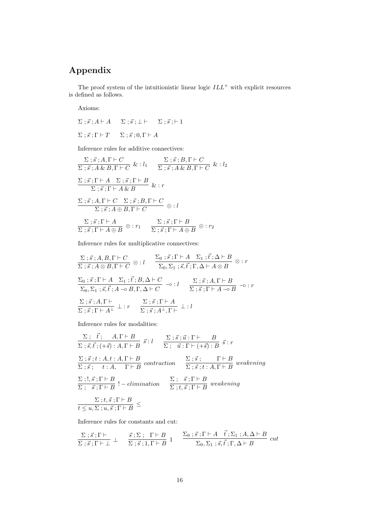# Appendix

The proof system of the intuitionistic linear logic  $ILL<sup>+</sup>$  with explicit resources is defined as follows.

Axioms:

$$
\Sigma \; ; \vec{s} \; ; A \vdash A \quad \Sigma \; ; \vec{s} \; ; \bot \vdash \quad \Sigma \; ; \vec{s} \; ; \vdash 1
$$
  

$$
\Sigma \; ; \vec{s} \; ; \Gamma \vdash T \quad \Sigma \; ; \vec{s} \; ; 0, \Gamma \vdash A
$$

Inference rules for additive connectives:

$$
\frac{\Sigma; \vec{s}; A, \Gamma \vdash C}{\Sigma; \vec{s}; A \& B, \Gamma \vdash C} \& : l_1 \quad \frac{\Sigma; \vec{s}; B, \Gamma \vdash C}{\Sigma; \vec{s}; A \& B, \Gamma \vdash C} \& : l_2
$$
\n
$$
\frac{\Sigma; \vec{s}; \Gamma \vdash A \quad \Sigma; \vec{s}; \Gamma \vdash B}{\Sigma; \vec{s}; \Gamma \vdash A \& B} \& : r
$$
\n
$$
\frac{\Sigma; \vec{s}; A, \Gamma \vdash C \quad \Sigma; \vec{s}; B, \Gamma \vdash C}{\Sigma; \vec{s}; A \oplus B, \Gamma \vdash C} \oplus : l
$$
\n
$$
\frac{\Sigma; \vec{s}; \Gamma \vdash A}{\Sigma; \vec{s}; \Gamma \vdash A \oplus B} \oplus : r_1 \quad \frac{\Sigma; \vec{s}; \Gamma \vdash B}{\Sigma; \vec{s}; \Gamma \vdash A \oplus B} \oplus : r_2
$$

Inference rules for multiplicative connectives:

$$
\frac{\Sigma \, ; \vec{s} \, ; A, B, \Gamma \vdash C}{\Sigma \, ; \vec{s} \, ; A \otimes B, \Gamma \vdash C} \otimes : l \qquad \frac{\Sigma_0 \, ; \vec{s} \, ; \Gamma \vdash A \quad \Sigma_1 \, ; \vec{t} \, ; \Delta \vdash B}{\Sigma_0, \Sigma_1 \, ; \vec{s} \, , \vec{t} \, ; \Gamma, \Delta \vdash A \otimes B} \otimes : r
$$
\n
$$
\frac{\Sigma_0 \, ; \vec{s} \, ; \Gamma \vdash A \quad \Sigma_1 \, ; \vec{t} \, ; B, \Delta \vdash C}{\Sigma_0, \Sigma_1 \, ; \vec{s} \, , \vec{t} \, ; A \multimap B, \Gamma, \Delta \vdash C} \multimap : l \qquad \frac{\Sigma \, ; \vec{s} \, ; A, \Gamma \vdash B}{\Sigma \, ; \vec{s} \, ; \Gamma \vdash A \multimap B} \multimap : r
$$
\n
$$
\frac{\Sigma \, ; \vec{s} \, ; A, \Gamma \vdash}{\Sigma \, ; \vec{s} \, ; \Gamma \vdash A^{\perp}} \perp : r \qquad \frac{\Sigma \, ; \vec{s} \, ; \Gamma \vdash A}{\Sigma \, ; \vec{s} \, ; A^{\perp}, \Gamma \vdash} \perp : l
$$

Inference rules for modalities:

$$
\frac{\Sigma}{\Sigma;\vec{s},\vec{t};(+\vec{s}) : A,\Gamma \vdash B} \vec{s} : l \quad \frac{\Sigma;\vec{s};\vec{u} : \Gamma \vdash B}{\Sigma;\vec{u} : \Gamma \vdash (+\vec{s}) : B} \vec{s} : r
$$
\n
$$
\frac{\Sigma;\vec{s};t : A,t : A,\Gamma \vdash B}{\Sigma;\vec{s};t : A,\Gamma \vdash B} \text{ contraction} \quad \frac{\Sigma;\vec{s};\Gamma \vdash B}{\Sigma;\vec{s};t : A,\Gamma \vdash B} \text{ weakening}
$$
\n
$$
\frac{\Sigma;!,\vec{s};\Gamma \vdash B}{\Sigma;\vec{s};\Gamma \vdash B} !-elimination \quad \frac{\Sigma;}{\Sigma;t,\vec{s};\Gamma \vdash B} \text{ weakening}
$$
\n
$$
\frac{\Sigma;t,\vec{s};\Gamma \vdash B}{t \le u,\Sigma;u,\vec{s};\Gamma \vdash B} \le
$$

Inference rules for constants and cut:

$$
\frac{\Sigma \; ; \; \vec{s} \; ; \Gamma \vdash}{\Sigma \; ; \; \vec{s} \; ; \Gamma \vdash \bot} \; \bot \; \frac{\vec{s} \; ; \Sigma \; ; \; \Gamma \vdash B}{\Sigma \; ; \; \vec{s} \; ; \Gamma \vdash B} \; 1 \; \frac{\Sigma_0 \; ; \; \vec{s} \; ; \Gamma \vdash A \; \vec{t} \; ; \Sigma_1 \; ; A, \Delta \vdash B}{\Sigma_0 \; \Sigma_1 \; ; \; \vec{s} \; ; \vec{t} \; ; \Gamma, \Delta \vdash B} \; cut
$$